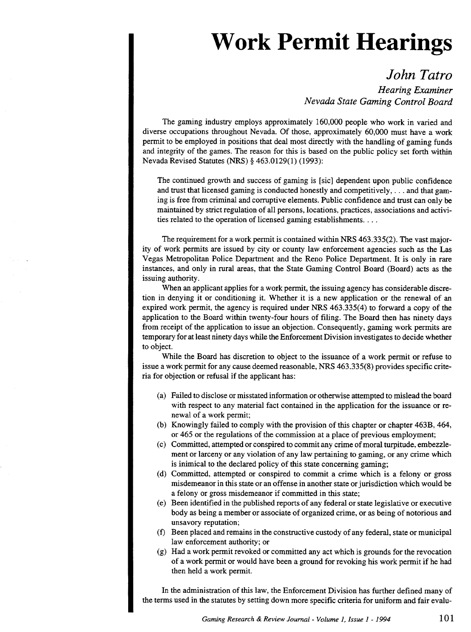## **Work Permit Hearings**

*John Tatro Hearing Examiner Nevada State Gaming Control Board* 

The gaming industry employs approximately 160,000 people who work in varied and diverse occupations throughout Nevada. Of those, approximately 60,000 must have a work permit to be employed in positions that deal most directly with the handling of gaming funds and integrity of the games. The reason for this is based on the public policy set forth within Nevada Revised Statutes (NRS) § 463.0129(1) (1993):

The continued growth and success of gaming is [sic] dependent upon public confidence and trust that licensed gaming is conducted honestly and competitively, ... and that gaming is free from criminal and corruptive elements. Public confidence and trust can only be maintained by strict regulation of all persons, locations, practices, associations and activities related to the operation of licensed gaming establishments. . . .

The requirement for a work permit is contained within NRS 463.335(2). The vast majority of work permits are issued by city or county law enforcement agencies such as the Las Vegas Metropolitan Police Department and the Reno Police Department. It is only in rare instances, and only in rural areas, that the State Gaming Control Board (Board) acts as the issuing authority.

When an applicant applies for a work permit, the issuing agency has considerable discretion in denying it or conditioning it. Whether it is a new application or the renewal of an expired work permit, the agency is required under NRS 463.335(4) to forward a copy of the application to the Board within twenty-four hours of filing. The Board then has ninety days from receipt of the application to issue an objection. Consequently, gaming work permits are temporary for at least ninety days while the Enforcement Division investigates to decide whether to object.

While the Board has discretion to object to the issuance of a work permit or refuse to issue a work permit for any cause deemed reasonable, NRS 463.335(8) provides specific criteria for objection or refusal if the applicant has:

- (a) Failed to disclose or misstated information or otherwise attempted to mislead the board with respect to any material fact contained in the application for the issuance or renewal of a work permit;
- (b) Knowingly failed to comply with the provision ofthis chapter or chapter 463B, 464, or 465 or the regulations of the commission at a place of previous employment;
- (c) Committed, attempted or conspired to commit any crime of moral turpitude, embezzlement or larceny or any violation of any law pertaining to gaming, or any crime which is inimical to the declared policy of this state concerning gaming;
- (d) Committed, attempted or conspired to commit a crime which is a felony or gross misdemeanor in this state or an offense in another state or jurisdiction which would be a felony or gross misdemeanor if committed in this state;
- (e) Been identified in the published reports of any federal or state legislative or executive body as being a member or associate of organized crime, or as being of notorious and unsavory reputation;
- (f) Been placed and remains in the constructive custody of any federal, state or municipal law enforcement authority; or
- (g) Had a work permit revoked or committed any act which is grounds for the revocation of a work permit or would have been a ground for revoking his work permit if he had then held a work permit.

In the administration of this law, the Enforcement Division has further defined many of the terms used in the statutes by setting down more specific criteria for uniform and fair evalu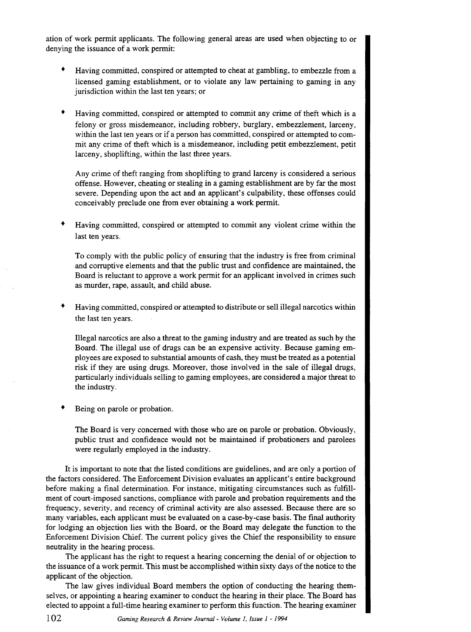ation of work permit applicants. The following general areas are used when objecting to or denying the issuance of a work permit:

- Having committed, conspired or attempted to cheat at gambling, to embezzle from a licensed gaming establishment, or to violate any law pertaining to gaming in any jurisdiction within the last ten years; or
- Having committed, conspired or attempted to commit any crime of theft which is a felony or gross misdemeanor, including robbery, burglary, embezzlement, larceny, within the last ten years or if a person has committed, conspired or attempted to commit any crime of theft which is a misdemeanor, including petit embezzlement, petit larceny, shoplifting, within the last three years.

Any crime of theft ranging from shoplifting to grand larceny is considered a serious offense. However, cheating or stealing in a gaming establishment are by far the most severe. Depending upon the act and an applicant's culpability, these offenses could conceivably preclude one from ever obtaining a work permit.

• Having committed, conspired or attempted to commit any violent crime within the last ten years.

To comply with the public policy of ensuring that the industry is free from criminal and corruptive elements and that the public trust and confidence are maintained, the Board is reluctant to approve a work permit for an applicant involved in crimes such as murder, rape, assault, and child abuse.

• Having committed, conspired or attempted to distribute or sell illegal narcotics within the last ten years.

Illegal narcotics are also a threat to the gaming industry and are treated as such by the Board. The illegal use of drugs can be an expensive activity. Because gaming employees are exposed to substantial amounts of cash, they must be treated as a potential risk if they are using drugs. Moreover, those involved in the sale of illegal drugs, particularly individuals selling to gaming employees, are considered a major threat to the industry.

• Being on parole or probation.

> The Board is very concerned with those who are on parole or probation. Obviously, public trust and confidence would not be maintained if probationers and parolees were regularly employed in the industry.

It is important to note that the listed conditions are guidelines, and are only a portion of the factors considered. The Enforcement Division evaluates an applicant's entire background before making a final determination. For instance, mitigating circumstances such as fulfillment of court-imposed sanctions, compliance with parole and probation requirements and the frequency, severity, and recency of criminal activity are also assessed. Because there are so many variables, each applicant must be evaluated on a case-by-case basis. The final authority for lodging an objection lies with the Board, or the Board may delegate the function to the Enforcement Division Chief. The current policy gives the Chief the responsibility to ensure neutrality in the hearing process.

The applicant has the right to request a hearing concerning the denial of or objection to the issuance of a work permit. This must be accomplished within sixty days of the notice to the applicant of the objection.

The law gives individual Board members the option of conducting the hearing themselves, or appointing a hearing examiner to conduct the hearing in their place. The Board has elected to appoint a full-time hearing examiner to perform this function. The hearing examiner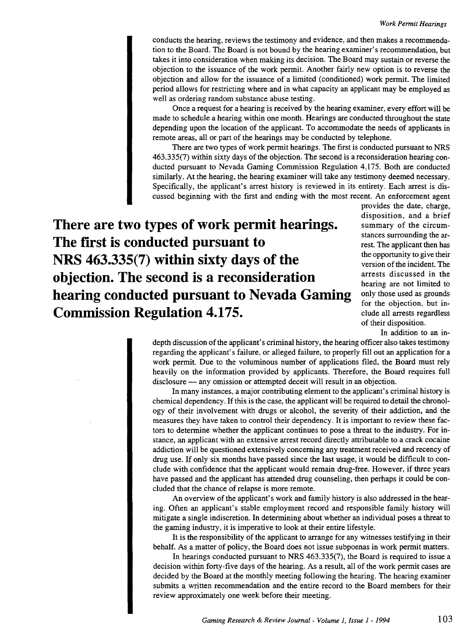conducts the hearing, reviews the testimony and evidence, and then makes a recommendation to the Board. The Board is not bound by the hearing examiner's recommendation, but takes it into consideration when making its decision. The Board may sustain or reverse the objection to the issuance of the work permit. Another fairly new option is to reverse the objection and allow for the issuance of a limited (conditioned) work permit. The limited period allows for restricting where and in what capacity an applicant may be employed as well as ordering random substance abuse testing.

Once a request for a hearing is received by the hearing examiner, every effort will be made to schedule a hearing within one month. Hearings are conducted throughout the state depending upon the location of the applicant. To accommodate the needs of applicants in remote areas, all or part of the hearings may be conducted by telephone.

There are two types of work permit hearings. The first is conducted pursuant to NRS 463.335(7) within sixty days of the objection. The second is a reconsideration hearing conducted pursuant to Nevada Gaming Commission Regulation *4)* 75. Both are conducted similarly. At the hearing, the hearing examiner will take any testimony deemed necessary. Specifically, the applicant's arrest history is reviewed in its entirety. Each arrest is discussed beginning with the first and ending with the most recent. An enforcement agent

**There are two types of work permit hearings. The first is conducted pursuant to NRS 463.335(7) within sixty days of the objection. The second is a reconsideration hearing conducted pursuant to Nevada Gaming Commission Regulation 4.175.** 

provides the date, charge, disposition, and a brief summary of the circumstances surrounding the arrest. The applicant then has the opportunity to give their version of the incident. The arrests discussed in the hearing are not limited to only those used as grounds for the objection, but include all arrests regardless of their disposition.

In addition to an in-

depth discussion of the applicant's criminal history, the hearing officer also takes testimony regarding the applicant's failure, or alleged failure, to properly fill out an application for a work permit. Due to the voluminous number of applications filed, the Board must rely heavily on the information provided by applicants. Therefore, the Board requires full disclosure - any omission or attempted deceit will result in an objection.

In many instances, a major contributing element to the applicant's criminal history is chemical dependency. If this is the case, the applicant will be required to detail the chronology of their involvement with drugs or alcohol, the severity of their addiction, and the measures they have taken to control their dependency. It is important to review these factors to determine whether the applicant continues to pose a threat to the industry. For instance, an applicant with an extensive arrest record directly attributable to a crack cocaine addiction will be questioned extensively concerning any treatment received and recency of drug use. If only six months have passed since the last usage, it would be difficult to conclude with confidence that the applicant would remain drug-free. However, if three years have passed and the applicant has attended drug counseling, then perhaps it could be concluded that the chance of relapse is more remote.

An overview of the applicant's work and family history is also addressed in the hearing. Often an applicant's stable employment record and responsible family history will mitigate a single indiscretion. In determining about whether an individual poses a threat to the gaming industry, it is imperative to look at their entire lifestyle.

It is the responsibility of the applicant to arrange for any witnesses testifying in their behalf. As a matter of policy, the Board does not issue subpoenas in work permit matters.

In hearings conducted pursuant to NRS 463.335(7), the Board is required to issue a decision within forty-five days of the hearing. As a result, all of the work permit cases are decided by the Board at the monthly meeting following the hearing. The hearing examiner submits a written recommendation and the entire record to the Board members for their review approximately one week before their meeting.